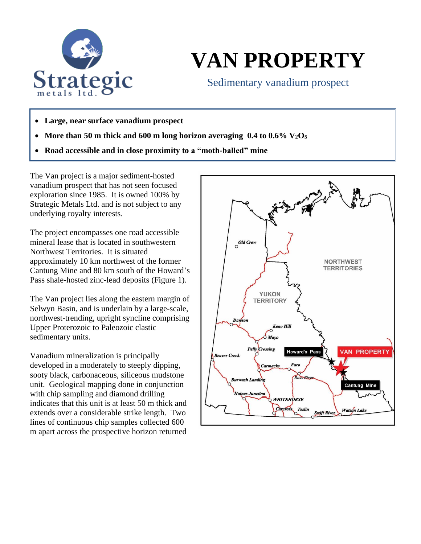

## **VAN PROPERTY**

Sedimentary vanadium prospect

- **Large, near surface vanadium prospect**
- **More than 50 m thick and 600 m long horizon averaging 0.4 to 0.6% V2O<sup>5</sup>**
- **Road accessible and in close proximity to a "moth-balled" mine**

The Van project is a major sediment-hosted vanadium prospect that has not seen focused exploration since 1985. It is owned 100% by Strategic Metals Ltd. and is not subject to any underlying royalty interests.

The project encompasses one road accessible mineral lease that is located in southwestern Northwest Territories. It is situated approximately 10 km northwest of the former Cantung Mine and 80 km south of the Howard's Pass shale-hosted zinc-lead deposits (Figure 1).

The Van project lies along the eastern margin of Selwyn Basin, and is underlain by a large-scale, northwest-trending, upright syncline comprising Upper Proterozoic to Paleozoic clastic sedimentary units.

Vanadium mineralization is principally developed in a moderately to steeply dipping, sooty black, carbonaceous, siliceous mudstone unit. Geological mapping done in conjunction with chip sampling and diamond drilling indicates that this unit is at least 50 m thick and extends over a considerable strike length. Two lines of continuous chip samples collected 600 m apart across the prospective horizon returned